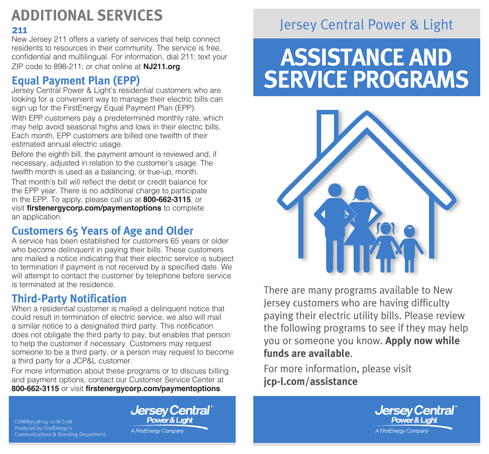# **ADDITIONAL SERVICES**

### **211**

New Jersey 211 offers a variety of services that help connect residents to resources in their community. The service is free, confidential and multilingual. For information, dial 211; text your ZIP code to 898-211; or chat online at **[NJ211.org](https://nj211.org/)**.

### **Equal Payment Plan (EPP)**

Jersey Central Power & Light's residential customers who are looking for a convenient way to manage their electric bills can sign up for the FirstEnergy Equal Payment Plan (EPP).

With EPP customers pay a predetermined monthly rate, which may help avoid seasonal highs and lows in their electric bills. Each month, EPP customers are billed one twelfth of their estimated annual electric usage.

Before the eighth bill, the payment amount is reviewed and, if necessary, adjusted in relation to the customer's usage. The twelfth month is used as a balancing, or true-up, month.

That month's bill will reflect the debit or credit balance for the EPP year. There is no additional charge to participate in the EPP. To apply, please call us at **800-662-3115**, or visit **firstenergycorp.com/paymentoptions** to complete an application.

### **Customers 65 Years of Age and Older**

A service has been established for customers 65 years or older who become delinquent in paying their bills. These customers are mailed a notice indicating that their electric service is subject to termination if payment is not received by a specified date. We will attempt to contact the customer by telephone before service is terminated at the residence.

### **Third-Party Notification**

When a residential customer is mailed a delinquent notice that could result in termination of electric service, we also will mail a similar notice to a designated third party. This notification does not obligate the third party to pay, but enables that person to help the customer if necessary. Customers may request someone to be a third party, or a person may request to become a third party for a JCP&L customer.

For more information about these programs or to discuss billing and payment options, contact our Customer Service Center at **800-662-3115** or visit **[firstenergycorp.com/paymentoptions](https://firstenergycorp.com/help/billingpayments.html)**.

#### COMM9538-04-21-AI-S3M Produced by FirstEnergy's Communications & Branding Department.

**Jersey Central Power & Liahl** 

A FirstEnergy Company

## Jersey Central Power & Light

# **ASSISTANCE AND SERVICE PROGRAMS**



There are many programs available to New Jersey customers who are having difficulty paying their electric utility bills. Please review the following programs to see if they may help you or someone you know. **Apply now while funds are available**.

For more information, please visit **jcp-l.com/assistance**